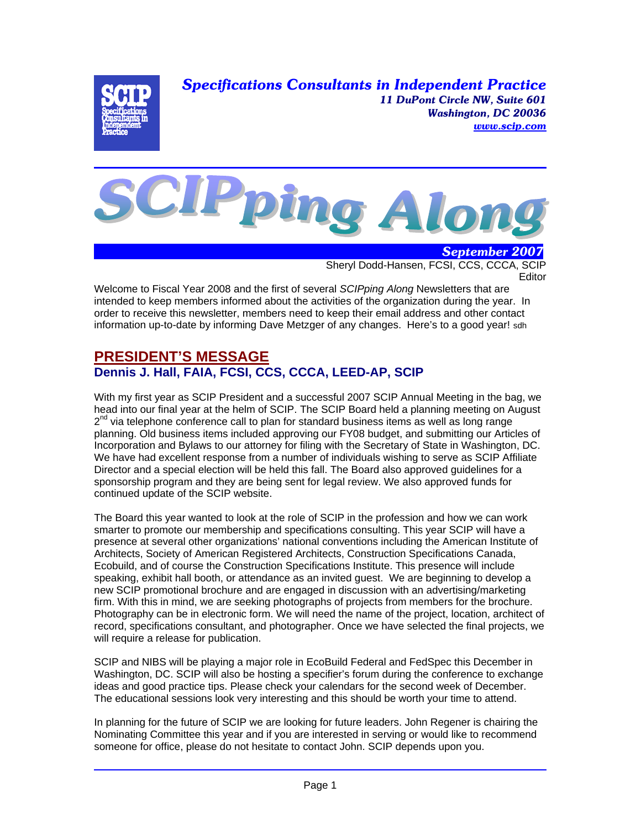*Specifications Consultants in Independent Practice 11 DuPont Circle NW, Suite 601 Washington, DC 20036 www.scip.com*





 *September 2007* Sheryl Dodd-Hansen, FCSI, CCS, CCCA, SCIP **Editor** 

Welcome to Fiscal Year 2008 and the first of several *SCIPping Along* Newsletters that are intended to keep members informed about the activities of the organization during the year. In order to receive this newsletter, members need to keep their email address and other contact information up-to-date by informing Dave Metzger of any changes. Here's to a good year! sdh

## **PRESIDENT'S MESSAGE Dennis J. Hall, FAIA, FCSI, CCS, CCCA, LEED-AP, SCIP**

With my first year as SCIP President and a successful 2007 SCIP Annual Meeting in the bag, we head into our final year at the helm of SCIP. The SCIP Board held a planning meeting on August  $2<sup>nd</sup>$  via telephone conference call to plan for standard business items as well as long range planning. Old business items included approving our FY08 budget, and submitting our Articles of Incorporation and Bylaws to our attorney for filing with the Secretary of State in Washington, DC. We have had excellent response from a number of individuals wishing to serve as SCIP Affiliate Director and a special election will be held this fall. The Board also approved guidelines for a sponsorship program and they are being sent for legal review. We also approved funds for continued update of the SCIP website.

The Board this year wanted to look at the role of SCIP in the profession and how we can work smarter to promote our membership and specifications consulting. This year SCIP will have a presence at several other organizations' national conventions including the American Institute of Architects, Society of American Registered Architects, Construction Specifications Canada, Ecobuild, and of course the Construction Specifications Institute. This presence will include speaking, exhibit hall booth, or attendance as an invited guest. We are beginning to develop a new SCIP promotional brochure and are engaged in discussion with an advertising/marketing firm. With this in mind, we are seeking photographs of projects from members for the brochure. Photography can be in electronic form. We will need the name of the project, location, architect of record, specifications consultant, and photographer. Once we have selected the final projects, we will require a release for publication.

SCIP and NIBS will be playing a major role in EcoBuild Federal and FedSpec this December in Washington, DC. SCIP will also be hosting a specifier's forum during the conference to exchange ideas and good practice tips. Please check your calendars for the second week of December. The educational sessions look very interesting and this should be worth your time to attend.

In planning for the future of SCIP we are looking for future leaders. John Regener is chairing the Nominating Committee this year and if you are interested in serving or would like to recommend someone for office, please do not hesitate to contact John. SCIP depends upon you.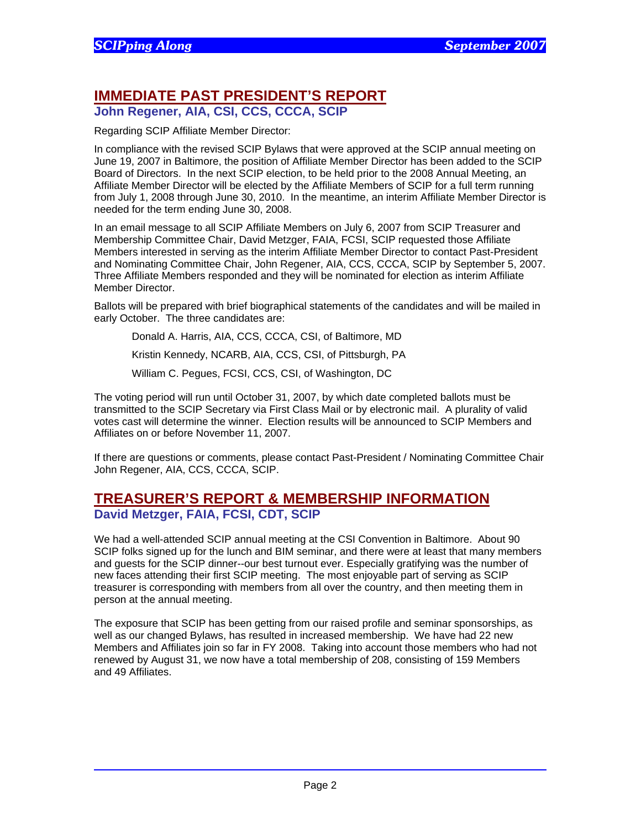# **IMMEDIATE PAST PRESIDENT'S REPORT**

**John Regener, AIA, CSI, CCS, CCCA, SCIP** 

Regarding SCIP Affiliate Member Director:

In compliance with the revised SCIP Bylaws that were approved at the SCIP annual meeting on June 19, 2007 in Baltimore, the position of Affiliate Member Director has been added to the SCIP Board of Directors. In the next SCIP election, to be held prior to the 2008 Annual Meeting, an Affiliate Member Director will be elected by the Affiliate Members of SCIP for a full term running from July 1, 2008 through June 30, 2010. In the meantime, an interim Affiliate Member Director is needed for the term ending June 30, 2008.

In an email message to all SCIP Affiliate Members on July 6, 2007 from SCIP Treasurer and Membership Committee Chair, David Metzger, FAIA, FCSI, SCIP requested those Affiliate Members interested in serving as the interim Affiliate Member Director to contact Past-President and Nominating Committee Chair, John Regener, AIA, CCS, CCCA, SCIP by September 5, 2007. Three Affiliate Members responded and they will be nominated for election as interim Affiliate Member Director.

Ballots will be prepared with brief biographical statements of the candidates and will be mailed in early October. The three candidates are:

Donald A. Harris, AIA, CCS, CCCA, CSI, of Baltimore, MD Kristin Kennedy, NCARB, AIA, CCS, CSI, of Pittsburgh, PA William C. Pegues, FCSI, CCS, CSI, of Washington, DC

The voting period will run until October 31, 2007, by which date completed ballots must be transmitted to the SCIP Secretary via First Class Mail or by electronic mail. A plurality of valid votes cast will determine the winner. Election results will be announced to SCIP Members and Affiliates on or before November 11, 2007.

If there are questions or comments, please contact Past-President / Nominating Committee Chair John Regener, AIA, CCS, CCCA, SCIP.

### **TREASURER'S REPORT & MEMBERSHIP INFORMATION David Metzger, FAIA, FCSI, CDT, SCIP**

We had a well-attended SCIP annual meeting at the CSI Convention in Baltimore. About 90 SCIP folks signed up for the lunch and BIM seminar, and there were at least that many members and guests for the SCIP dinner--our best turnout ever. Especially gratifying was the number of new faces attending their first SCIP meeting. The most enjoyable part of serving as SCIP treasurer is corresponding with members from all over the country, and then meeting them in person at the annual meeting.

The exposure that SCIP has been getting from our raised profile and seminar sponsorships, as well as our changed Bylaws, has resulted in increased membership. We have had 22 new Members and Affiliates join so far in FY 2008. Taking into account those members who had not renewed by August 31, we now have a total membership of 208, consisting of 159 Members and 49 Affiliates.